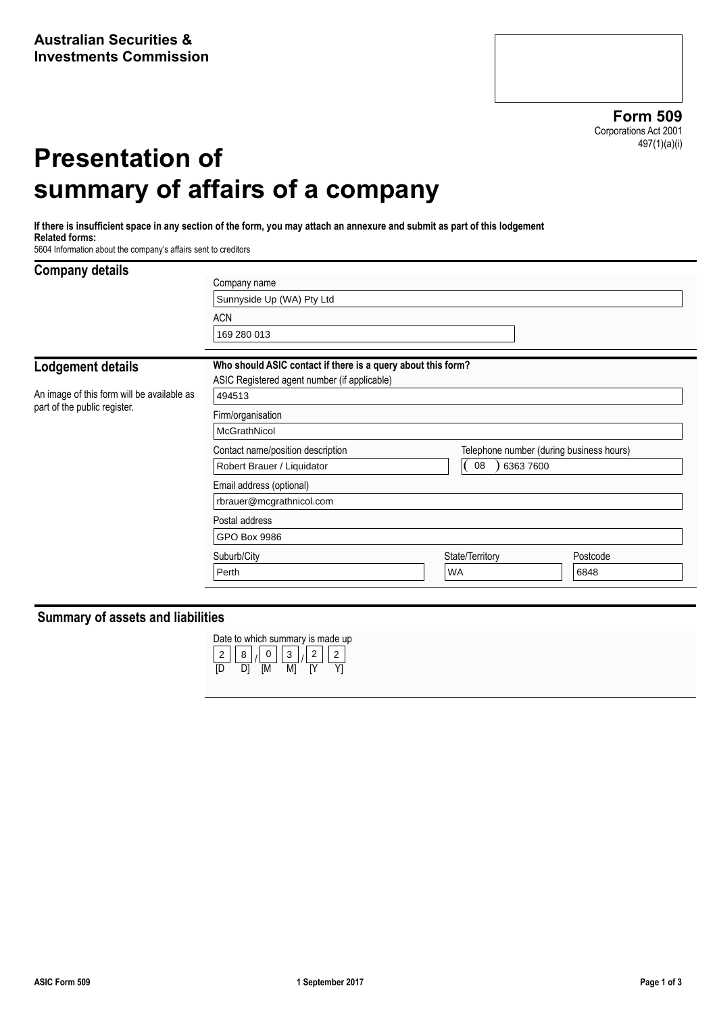**Form 509** Corporations Act 2001 497(1)(a)(i)

# **Presentation of summary of affairs of a company**

**If there is insufficient space in any section of the form, you may attach an annexure and submit as part of this lodgement Related forms:**

5604 Information about the company's affairs sent to creditors

#### **Company details**

| <b>SAMPANTY ARMIN</b>                      | Company name                                                                  |  |                     |  |          |  |  |  |
|--------------------------------------------|-------------------------------------------------------------------------------|--|---------------------|--|----------|--|--|--|
|                                            | Sunnyside Up (WA) Pty Ltd                                                     |  |                     |  |          |  |  |  |
|                                            | <b>ACN</b>                                                                    |  |                     |  |          |  |  |  |
|                                            | 169 280 013                                                                   |  |                     |  |          |  |  |  |
| Lodgement details                          | Who should ASIC contact if there is a query about this form?                  |  |                     |  |          |  |  |  |
|                                            | ASIC Registered agent number (if applicable)                                  |  |                     |  |          |  |  |  |
| An image of this form will be available as | 494513                                                                        |  |                     |  |          |  |  |  |
| part of the public register.               | Firm/organisation                                                             |  |                     |  |          |  |  |  |
|                                            | McGrathNicol                                                                  |  |                     |  |          |  |  |  |
|                                            | Telephone number (during business hours)<br>Contact name/position description |  |                     |  |          |  |  |  |
|                                            | Robert Brauer / Liquidator                                                    |  | (0.08)<br>6363 7600 |  |          |  |  |  |
|                                            | Email address (optional)                                                      |  |                     |  |          |  |  |  |
|                                            | rbrauer@mcgrathnicol.com                                                      |  |                     |  |          |  |  |  |
|                                            | Postal address                                                                |  |                     |  |          |  |  |  |
|                                            | GPO Box 9986                                                                  |  |                     |  |          |  |  |  |
|                                            | Suburb/City                                                                   |  | State/Territory     |  | Postcode |  |  |  |
|                                            | Perth                                                                         |  | <b>WA</b>           |  | 6848     |  |  |  |
|                                            |                                                                               |  |                     |  |          |  |  |  |

## **Summary of assets and liabilities**

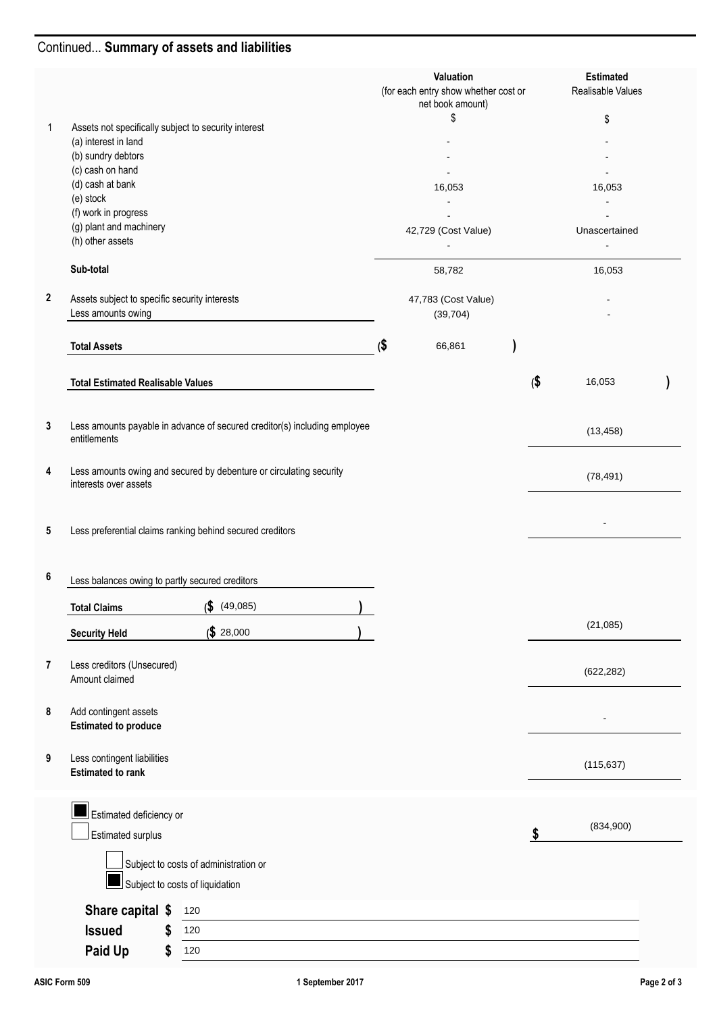# Continued... **Summary of assets and liabilities**

|                |                                                                                              |     | Valuation<br>(for each entry show whether cost or<br>net book amount) |                     | <b>Estimated</b><br>Realisable Values |  |
|----------------|----------------------------------------------------------------------------------------------|-----|-----------------------------------------------------------------------|---------------------|---------------------------------------|--|
| 1              | Assets not specifically subject to security interest                                         |     | \$                                                                    |                     | \$                                    |  |
|                | (a) interest in land                                                                         |     |                                                                       |                     |                                       |  |
|                | (b) sundry debtors                                                                           |     |                                                                       |                     |                                       |  |
|                | (c) cash on hand                                                                             |     |                                                                       |                     |                                       |  |
|                | (d) cash at bank                                                                             |     | 16,053                                                                |                     | 16,053                                |  |
|                | (e) stock                                                                                    |     |                                                                       |                     |                                       |  |
|                | (f) work in progress<br>(g) plant and machinery                                              |     |                                                                       |                     |                                       |  |
|                | (h) other assets                                                                             |     | 42,729 (Cost Value)                                                   |                     | Unascertained                         |  |
|                |                                                                                              |     |                                                                       |                     |                                       |  |
|                | Sub-total                                                                                    |     | 58,782                                                                |                     | 16,053                                |  |
| $\mathbf{2}$   | Assets subject to specific security interests<br>Less amounts owing                          |     | 47,783 (Cost Value)                                                   |                     |                                       |  |
|                |                                                                                              |     | (39, 704)                                                             |                     |                                       |  |
|                | <b>Total Assets</b>                                                                          | (\$ | 66,861                                                                |                     |                                       |  |
|                | <b>Total Estimated Realisable Values</b>                                                     |     |                                                                       | $\boldsymbol{\phi}$ | 16,053                                |  |
|                |                                                                                              |     |                                                                       |                     |                                       |  |
| 3              | Less amounts payable in advance of secured creditor(s) including employee<br>entitlements    |     |                                                                       |                     | (13, 458)                             |  |
|                |                                                                                              |     |                                                                       |                     |                                       |  |
| 4              | Less amounts owing and secured by debenture or circulating security<br>interests over assets |     |                                                                       |                     | (78, 491)                             |  |
| 5              | Less preferential claims ranking behind secured creditors                                    |     |                                                                       |                     |                                       |  |
| 6              | Less balances owing to partly secured creditors                                              |     |                                                                       |                     |                                       |  |
|                | $($ \$ (49,085)<br><b>Total Claims</b>                                                       | A   |                                                                       |                     |                                       |  |
|                | \$28,000<br><b>Security Held</b>                                                             |     |                                                                       |                     | (21,085)                              |  |
| $\overline{7}$ | Less creditors (Unsecured)                                                                   |     |                                                                       |                     |                                       |  |
|                | Amount claimed                                                                               |     |                                                                       |                     | (622, 282)                            |  |
| 8              | Add contingent assets                                                                        |     |                                                                       |                     |                                       |  |
|                | <b>Estimated to produce</b>                                                                  |     |                                                                       |                     |                                       |  |
| 9              | Less contingent liabilities                                                                  |     |                                                                       |                     | (115, 637)                            |  |
|                | <b>Estimated to rank</b>                                                                     |     |                                                                       |                     |                                       |  |
|                | Estimated deficiency or                                                                      |     |                                                                       |                     |                                       |  |
|                | Estimated surplus                                                                            |     |                                                                       | \$                  | (834,900)                             |  |
|                |                                                                                              |     |                                                                       |                     |                                       |  |
|                | Subject to costs of administration or                                                        |     |                                                                       |                     |                                       |  |
|                | Subject to costs of liquidation                                                              |     |                                                                       |                     |                                       |  |
|                | Share capital \$<br>120                                                                      |     |                                                                       |                     |                                       |  |
|                | <b>Issued</b><br>\$<br>120                                                                   |     |                                                                       |                     |                                       |  |
|                | Paid Up<br>120<br>\$                                                                         |     |                                                                       |                     |                                       |  |
|                |                                                                                              |     |                                                                       |                     |                                       |  |